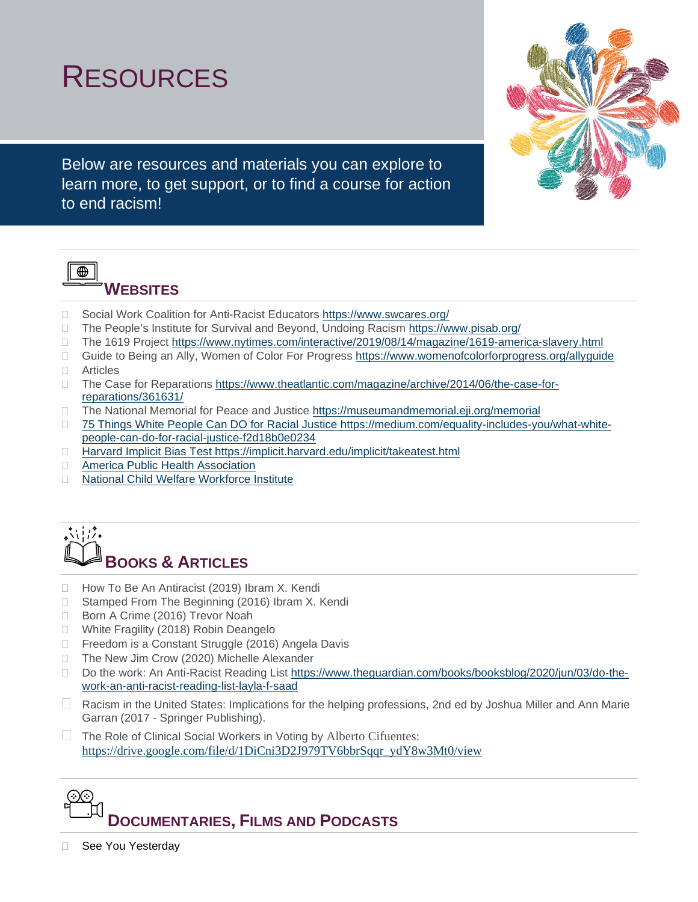# RESOURCES



Below are resources and materials you can explore to learn more, to get support, or to find a course for action to end racism!



## **WEBSITES**

- □ Social Work Coalition for Anti-Racist Educators<https://www.swcares.org/>
- □ The People's Institute for Survival and Beyond, Undoing Racism<https://www.pisab.org/>
- □ The 1619 Project<https://www.nytimes.com/interactive/2019/08/14/magazine/1619-america-slavery.html>
- □ Guide to Being an Ally, Women of Color For Progress<https://www.womenofcolorforprogress.org/allyguide> Articles
- 
- □ The Case for Reparations [https://www.theatlantic.com/magazine/archive/2014/06/the-case-for](https://www.theatlantic.com/magazine/archive/2014/06/the-case-for-reparations/361631/)[reparations/361631/](https://www.theatlantic.com/magazine/archive/2014/06/the-case-for-reparations/361631/)
- □ The National Memorial for Peace and Justice<https://museumandmemorial.eji.org/memorial>
- □ 75 Things White People Can DO for Racial Justice [https://medium.com/equality-includes-you/what-white](https://medium.com/equality-includes-you/what-white-people-can-do-for-racial-justice-f2d18b0e0234)[people-can-do-for-racial-justice-f2d18b0e0234](https://medium.com/equality-includes-you/what-white-people-can-do-for-racial-justice-f2d18b0e0234)
- □ Harvard Implicit Bias Test<https://implicit.harvard.edu/implicit/takeatest.html>
- □ [America Public Health Association](https://apha.org/events-and-meetings/apha-calendar/webinar-events/2020/racial-equity-part-1)
- □ [National Child Welfare Workforce Institute](https://ncwwi.org/index.php/resourcemenu/racial-equity)



- □ How To Be An Antiracist (2019) Ibram X. Kendi
- □ Stamped From The Beginning (2016) Ibram X. Kendi
- Born A Crime (2016) Trevor Noah
- □ White Fragility (2018) Robin Deangelo
- □ Freedom is a Constant Struggle (2016) Angela Davis
- □ The New Jim Crow (2020) Michelle Alexander
- □ Do the work: An Anti-Racist Reading List [https://www.theguardian.com/books/booksblog/2020/jun/03/do-the](https://www.theguardian.com/books/booksblog/2020/jun/03/do-the-work-an-anti-racist-reading-list-layla-f-saad)[work-an-anti-racist-reading-list-layla-f-saad](https://www.theguardian.com/books/booksblog/2020/jun/03/do-the-work-an-anti-racist-reading-list-layla-f-saad)
- Racism in the United States: Implications for the helping professions, 2nd ed by Joshua Miller and Ann Marie Garran (2017 - Springer Publishing).
- The Role of Clinical Social Workers in Voting by Alberto Cifuentes: [https://drive.google.com/file/d/1DiCni3D2J979TV6bbrSqqr\\_ydY8w3Mt0/view](https://drive.google.com/file/d/1DiCni3D2J979TV6bbrSqqr_ydY8w3Mt0/view)



□ See You Yesterday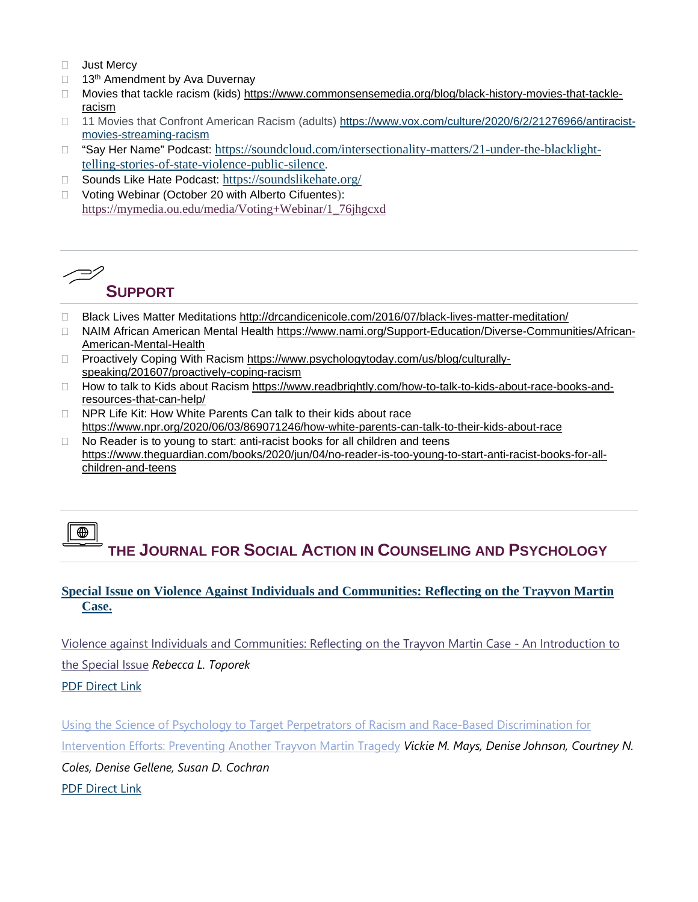- **Just Mercy**
- $\Box$  13<sup>th</sup> Amendment by Ava Duvernay
- □ Movies that tackle racism (kids) [https://www.commonsensemedia.org/blog/black-history-movies-that-tackle](https://www.commonsensemedia.org/blog/black-history-movies-that-tackle-racism)[racism](https://www.commonsensemedia.org/blog/black-history-movies-that-tackle-racism)
- □ 11 Movies that Confront American Racism (adults) [https://www.vox.com/culture/2020/6/2/21276966/antiracist](https://www.vox.com/culture/2020/6/2/21276966/antiracist-movies-streaming-racism)[movies-streaming-racism](https://www.vox.com/culture/2020/6/2/21276966/antiracist-movies-streaming-racism)
- □ "Say Her Name" Podcast: [https://soundcloud.com/intersectionality-matters/21-under-the-blacklight](https://urldefense.proofpoint.com/v2/url?u=https-3A__soundcloud.com_intersectionality-2Dmatters_21-2Dunder-2Dthe-2Dblacklight-2Dtelling-2Dstories-2Dof-2Dstate-2Dviolence-2Dpublic-2Dsilence&d=DwMFAg&c=qKdtBuuu6dQK9MsRUVJ2DPXW6oayO8fu4TfEHS8sGNk&r=NpObdpkxXoB7TQhVgiNGUg&m=gJz0Pc4eC-iZnPcT3H5VSyGlfjeji5plANZ8fKPqGbU&s=NKUIM-BcfxQ-3MbAdSlfTFJ-ai2R1hfdQwWz8pINPDk&e=)[telling-stories-of-state-violence-public-silence.](https://urldefense.proofpoint.com/v2/url?u=https-3A__soundcloud.com_intersectionality-2Dmatters_21-2Dunder-2Dthe-2Dblacklight-2Dtelling-2Dstories-2Dof-2Dstate-2Dviolence-2Dpublic-2Dsilence&d=DwMFAg&c=qKdtBuuu6dQK9MsRUVJ2DPXW6oayO8fu4TfEHS8sGNk&r=NpObdpkxXoB7TQhVgiNGUg&m=gJz0Pc4eC-iZnPcT3H5VSyGlfjeji5plANZ8fKPqGbU&s=NKUIM-BcfxQ-3MbAdSlfTFJ-ai2R1hfdQwWz8pINPDk&e=)
- □ Sounds Like Hate Podcast: <https://soundslikehate.org/>
- □ Voting Webinar (October 20 with Alberto Cifuentes): [https://mymedia.ou.edu/media/Voting+Webinar/1\\_76jhgcxd](https://mymedia.ou.edu/media/Voting+Webinar/1_76jhgcxd)

#### / S/ **SUPPORT**

- Black Lives Matter Meditations<http://drcandicenicole.com/2016/07/black-lives-matter-meditation/>
- □ NAIM African American Mental Health [https://www.nami.org/Support-Education/Diverse-Communities/African-](https://www.nami.org/Support-Education/Diverse-Communities/African-American-Mental-Health)[American-Mental-Health](https://www.nami.org/Support-Education/Diverse-Communities/African-American-Mental-Health)
- □ Proactively Coping With Racism [https://www.psychologytoday.com/us/blog/culturally](https://www.psychologytoday.com/us/blog/culturally-speaking/201607/proactively-coping-racism)[speaking/201607/proactively-coping-racism](https://www.psychologytoday.com/us/blog/culturally-speaking/201607/proactively-coping-racism)
- □ How to talk to Kids about Racism [https://www.readbrightly.com/how-to-talk-to-kids-about-race-books-and](https://www.readbrightly.com/how-to-talk-to-kids-about-race-books-and-resources-that-can-help/)[resources-that-can-help/](https://www.readbrightly.com/how-to-talk-to-kids-about-race-books-and-resources-that-can-help/)
- □ NPR Life Kit: How White Parents Can talk to their kids about race <https://www.npr.org/2020/06/03/869071246/how-white-parents-can-talk-to-their-kids-about-race>
- $\Box$  No Reader is to young to start: anti-racist books for all children and teens [https://www.theguardian.com/books/2020/jun/04/no-reader-is-too-young-to-start-anti-racist-books-for-all](https://www.theguardian.com/books/2020/jun/04/no-reader-is-too-young-to-start-anti-racist-books-for-all-children-and-teens)[children-and-teens](https://www.theguardian.com/books/2020/jun/04/no-reader-is-too-young-to-start-anti-racist-books-for-all-children-and-teens)

### $\bigoplus$ **THE JOURNAL FOR SOCIAL ACTION IN COUNSELING AND PSYCHOLOGY**

#### **[Special Issue on Violence Against Individuals and Communities: Reflecting on the Trayvon Martin](https://urldefense.proofpoint.com/v2/url?u=https-3A__nam05.safelinks.protection.outlook.com_-3Furl-3Dhttps-253A-252F-252Fopenjournals.bsu.edu-252Fjsacp-252Fissue-252Fview-252Fjsacp-5F05-5F01-26data-3D02-257C01-257Cmcgjeltema-2540bsu.edu-257Ca7480dd74f8c4102ec1408d812206d8b-257C6fff909f07dc40da9e30fd7549c0f494-257C0-257C0-257C637279277771412014-26sdata-3D296D7DR5bLujx-252B6D39TuT8ftQDUX-252FjQo3LmP9hFCVoc-253D-26reserved-3D0&d=DwMFAg&c=qKdtBuuu6dQK9MsRUVJ2DPXW6oayO8fu4TfEHS8sGNk&r=NpObdpkxXoB7TQhVgiNGUg&m=R9XDZJtg_7jpVRe_gXiououw6NVpgNR3BSWE7wH7ho4&s=lQbB1TlPTGfSf1DXcNrzvA8kce5MRUOOjeoFCpr-3zQ&e=)  [Case.](https://urldefense.proofpoint.com/v2/url?u=https-3A__nam05.safelinks.protection.outlook.com_-3Furl-3Dhttps-253A-252F-252Fopenjournals.bsu.edu-252Fjsacp-252Fissue-252Fview-252Fjsacp-5F05-5F01-26data-3D02-257C01-257Cmcgjeltema-2540bsu.edu-257Ca7480dd74f8c4102ec1408d812206d8b-257C6fff909f07dc40da9e30fd7549c0f494-257C0-257C0-257C637279277771412014-26sdata-3D296D7DR5bLujx-252B6D39TuT8ftQDUX-252FjQo3LmP9hFCVoc-253D-26reserved-3D0&d=DwMFAg&c=qKdtBuuu6dQK9MsRUVJ2DPXW6oayO8fu4TfEHS8sGNk&r=NpObdpkxXoB7TQhVgiNGUg&m=R9XDZJtg_7jpVRe_gXiououw6NVpgNR3BSWE7wH7ho4&s=lQbB1TlPTGfSf1DXcNrzvA8kce5MRUOOjeoFCpr-3zQ&e=)**

[Violence against Individuals and Communities: Reflecting on the Trayvon Martin Case -](https://urldefense.proofpoint.com/v2/url?u=https-3A__nam05.safelinks.protection.outlook.com_-3Furl-3Dhttps-253A-252F-252Fopenjournals.bsu.edu-252Fjsacp-252Farticle-252Fview-252F143-26data-3D02-257C01-257Cmcgjeltema-2540bsu.edu-257Ca7480dd74f8c4102ec1408d812206d8b-257C6fff909f07dc40da9e30fd7549c0f494-257C0-257C0-257C637279277771422003-26sdata-3DWdvjbou9wwTymCoSmCRP06-252FGLDlKMDVtLDLIsRlLAYM-253D-26reserved-3D0&d=DwMFAg&c=qKdtBuuu6dQK9MsRUVJ2DPXW6oayO8fu4TfEHS8sGNk&r=NpObdpkxXoB7TQhVgiNGUg&m=R9XDZJtg_7jpVRe_gXiououw6NVpgNR3BSWE7wH7ho4&s=KBxx6od18_KtcEaBJIRFRcnbdPCbF8Pi1I1ynZjFDrw&e=) An Introduction to

[the Special Issue](https://urldefense.proofpoint.com/v2/url?u=https-3A__nam05.safelinks.protection.outlook.com_-3Furl-3Dhttps-253A-252F-252Fopenjournals.bsu.edu-252Fjsacp-252Farticle-252Fview-252F143-26data-3D02-257C01-257Cmcgjeltema-2540bsu.edu-257Ca7480dd74f8c4102ec1408d812206d8b-257C6fff909f07dc40da9e30fd7549c0f494-257C0-257C0-257C637279277771422003-26sdata-3DWdvjbou9wwTymCoSmCRP06-252FGLDlKMDVtLDLIsRlLAYM-253D-26reserved-3D0&d=DwMFAg&c=qKdtBuuu6dQK9MsRUVJ2DPXW6oayO8fu4TfEHS8sGNk&r=NpObdpkxXoB7TQhVgiNGUg&m=R9XDZJtg_7jpVRe_gXiououw6NVpgNR3BSWE7wH7ho4&s=KBxx6od18_KtcEaBJIRFRcnbdPCbF8Pi1I1ynZjFDrw&e=) *Rebecca L. Toporek* 

[PDF Direct Link](https://urldefense.proofpoint.com/v2/url?u=https-3A__openjournals.bsu.edu_jsacp_article_view_143_125&d=DwMFAg&c=qKdtBuuu6dQK9MsRUVJ2DPXW6oayO8fu4TfEHS8sGNk&r=NpObdpkxXoB7TQhVgiNGUg&m=R9XDZJtg_7jpVRe_gXiououw6NVpgNR3BSWE7wH7ho4&s=TbeO1yPoGyFIILKnBm5sP_d5J7WKFLckmVJBUIVNtsc&e=)

[Using the Science of Psychology to Target Perpetrators of Racism and Race-Based Discrimination for](https://urldefense.proofpoint.com/v2/url?u=https-3A__nam05.safelinks.protection.outlook.com_-3Furl-3Dhttps-253A-252F-252Fopenjournals.bsu.edu-252Fjsacp-252Farticle-252Fview-252F145-26data-3D02-257C01-257Cmcgjeltema-2540bsu.edu-257Ca7480dd74f8c4102ec1408d812206d8b-257C6fff909f07dc40da9e30fd7549c0f494-257C0-257C0-257C637279277771422003-26sdata-3Dd61gHvkvjQ-252FBdS8GC2O9qSfPP-252FY0A9qqnc9S-252Fms6-252FJo-253D-26reserved-3D0&d=DwMFAg&c=qKdtBuuu6dQK9MsRUVJ2DPXW6oayO8fu4TfEHS8sGNk&r=NpObdpkxXoB7TQhVgiNGUg&m=R9XDZJtg_7jpVRe_gXiououw6NVpgNR3BSWE7wH7ho4&s=ywy6hGuzOzOiRRmBdu0OymetPBDng7qQr3U2Uzq-m9Y&e=)  [Intervention Efforts: Preventing Another Trayvon Martin Tragedy](https://urldefense.proofpoint.com/v2/url?u=https-3A__nam05.safelinks.protection.outlook.com_-3Furl-3Dhttps-253A-252F-252Fopenjournals.bsu.edu-252Fjsacp-252Farticle-252Fview-252F145-26data-3D02-257C01-257Cmcgjeltema-2540bsu.edu-257Ca7480dd74f8c4102ec1408d812206d8b-257C6fff909f07dc40da9e30fd7549c0f494-257C0-257C0-257C637279277771422003-26sdata-3Dd61gHvkvjQ-252FBdS8GC2O9qSfPP-252FY0A9qqnc9S-252Fms6-252FJo-253D-26reserved-3D0&d=DwMFAg&c=qKdtBuuu6dQK9MsRUVJ2DPXW6oayO8fu4TfEHS8sGNk&r=NpObdpkxXoB7TQhVgiNGUg&m=R9XDZJtg_7jpVRe_gXiououw6NVpgNR3BSWE7wH7ho4&s=ywy6hGuzOzOiRRmBdu0OymetPBDng7qQr3U2Uzq-m9Y&e=) *Vickie M. Mays, Denise Johnson, Courtney N.* 

*Coles, Denise Gellene, Susan D. Cochran* 

[PDF Direct Link](https://urldefense.proofpoint.com/v2/url?u=https-3A__openjournals.bsu.edu_jsacp_article_view_145_127&d=DwMFAg&c=qKdtBuuu6dQK9MsRUVJ2DPXW6oayO8fu4TfEHS8sGNk&r=NpObdpkxXoB7TQhVgiNGUg&m=R9XDZJtg_7jpVRe_gXiououw6NVpgNR3BSWE7wH7ho4&s=OcO6fPaWHg4xJWYt2beuRt8y5V81ugJNIVQCnWDe5qw&e=)